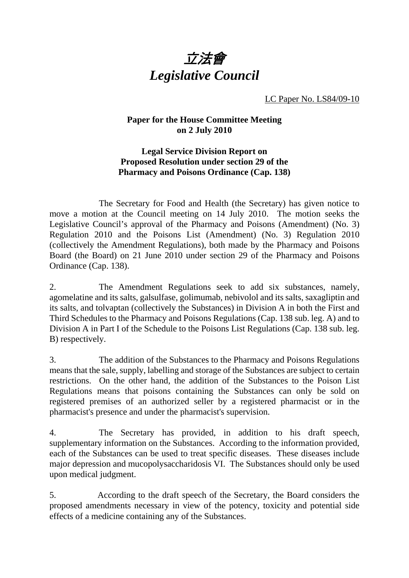

LC Paper No. LS84/09-10

## **Paper for the House Committee Meeting on 2 July 2010**

## **Legal Service Division Report on Proposed Resolution under section 29 of the Pharmacy and Poisons Ordinance (Cap. 138)**

 The Secretary for Food and Health (the Secretary) has given notice to move a motion at the Council meeting on 14 July 2010. The motion seeks the Legislative Council's approval of the Pharmacy and Poisons (Amendment) (No. 3) Regulation 2010 and the Poisons List (Amendment) (No. 3) Regulation 2010 (collectively the Amendment Regulations), both made by the Pharmacy and Poisons Board (the Board) on 21 June 2010 under section 29 of the Pharmacy and Poisons Ordinance (Cap. 138).

2. The Amendment Regulations seek to add six substances, namely, agomelatine and its salts, galsulfase, golimumab, nebivolol and its salts, saxagliptin and its salts, and tolvaptan (collectively the Substances) in Division A in both the First and Third Schedules to the Pharmacy and Poisons Regulations (Cap. 138 sub. leg. A) and to Division A in Part I of the Schedule to the Poisons List Regulations (Cap. 138 sub. leg. B) respectively.

3. The addition of the Substances to the Pharmacy and Poisons Regulations means that the sale, supply, labelling and storage of the Substances are subject to certain restrictions. On the other hand, the addition of the Substances to the Poison List Regulations means that poisons containing the Substances can only be sold on registered premises of an authorized seller by a registered pharmacist or in the pharmacist's presence and under the pharmacist's supervision.

4. The Secretary has provided, in addition to his draft speech, supplementary information on the Substances. According to the information provided, each of the Substances can be used to treat specific diseases. These diseases include major depression and mucopolysaccharidosis VI. The Substances should only be used upon medical judgment.

5. According to the draft speech of the Secretary, the Board considers the proposed amendments necessary in view of the potency, toxicity and potential side effects of a medicine containing any of the Substances.